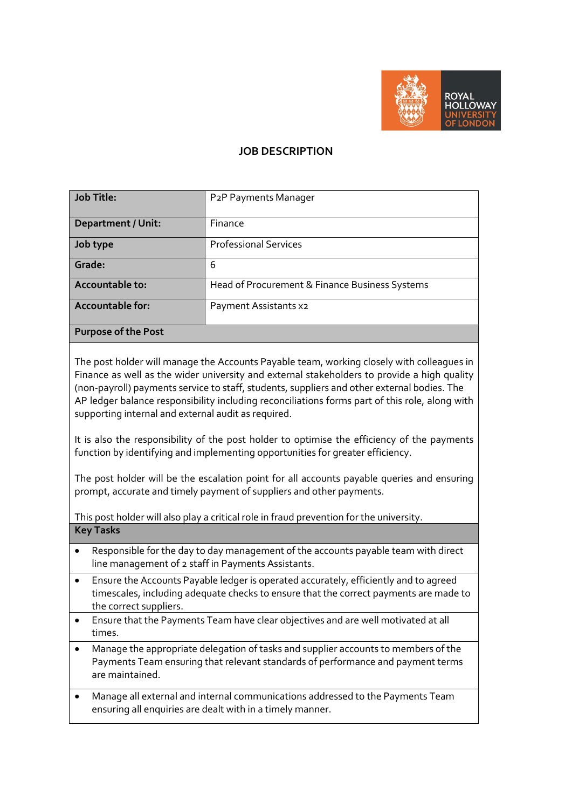

## **JOB DESCRIPTION**

| Job Title:                | P <sub>2</sub> P Payments Manager              |
|---------------------------|------------------------------------------------|
|                           |                                                |
| <b>Department / Unit:</b> | Finance                                        |
| Job type                  | <b>Professional Services</b>                   |
| <b>Grade:</b>             | 6                                              |
| Accountable to:           | Head of Procurement & Finance Business Systems |
| Accountable for:          | Payment Assistants x2                          |
| Purpose of the Post       |                                                |

The post holder will manage the Accounts Payable team, working closely with colleagues in Finance as well as the wider university and external stakeholders to provide a high quality (non-payroll) payments service to staff, students, suppliers and other external bodies. The AP ledger balance responsibility including reconciliations forms part of this role, along with supporting internal and external audit as required.

It is also the responsibility of the post holder to optimise the efficiency of the payments function by identifying and implementing opportunities for greater efficiency.

The post holder will be the escalation point for all accounts payable queries and ensuring prompt, accurate and timely payment of suppliers and other payments.

This post holder will also play a critical role in fraud prevention for the university. **Key Tasks**

- Responsible for the day to day management of the accounts payable team with direct line management of 2 staff in Payments Assistants.
- Ensure the Accounts Payable ledger is operated accurately, efficiently and to agreed timescales, including adequate checks to ensure that the correct payments are made to the correct suppliers.
- Ensure that the Payments Team have clear objectives and are well motivated at all times.
- Manage the appropriate delegation of tasks and supplier accounts to members of the Payments Team ensuring that relevant standards of performance and payment terms are maintained.
- Manage all external and internal communications addressed to the Payments Team ensuring all enquiries are dealt with in a timely manner.